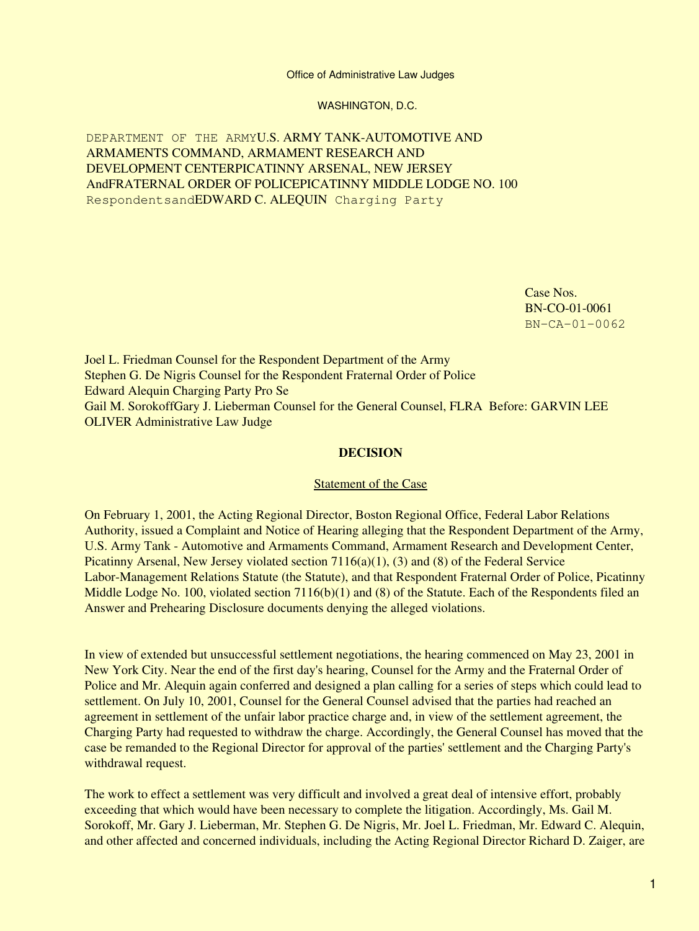Office of Administrative Law Judges

WASHINGTON, D.C.

DEPARTMENT OF THE ARMYU.S. ARMY TANK-AUTOMOTIVE AND ARMAMENTS COMMAND, ARMAMENT RESEARCH AND DEVELOPMENT CENTERPICATINNY ARSENAL, NEW JERSEY AndFRATERNAL ORDER OF POLICEPICATINNY MIDDLE LODGE NO. 100 RespondentsandEDWARD C. ALEQUIN Charging Party

> Case Nos. BN-CO-01-0061 BN-CA-01-0062

Joel L. Friedman Counsel for the Respondent Department of the Army Stephen G. De Nigris Counsel for the Respondent Fraternal Order of Police Edward Alequin Charging Party Pro Se Gail M. SorokoffGary J. Lieberman Counsel for the General Counsel, FLRA Before: GARVIN LEE OLIVER Administrative Law Judge

## **DECISION**

## Statement of the Case

On February 1, 2001, the Acting Regional Director, Boston Regional Office, Federal Labor Relations Authority, issued a Complaint and Notice of Hearing alleging that the Respondent Department of the Army, U.S. Army Tank - Automotive and Armaments Command, Armament Research and Development Center, Picatinny Arsenal, New Jersey violated section 7116(a)(1), (3) and (8) of the Federal Service Labor-Management Relations Statute (the Statute), and that Respondent Fraternal Order of Police, Picatinny Middle Lodge No. 100, violated section  $7116(b)(1)$  and (8) of the Statute. Each of the Respondents filed an Answer and Prehearing Disclosure documents denying the alleged violations.

In view of extended but unsuccessful settlement negotiations, the hearing commenced on May 23, 2001 in New York City. Near the end of the first day's hearing, Counsel for the Army and the Fraternal Order of Police and Mr. Alequin again conferred and designed a plan calling for a series of steps which could lead to settlement. On July 10, 2001, Counsel for the General Counsel advised that the parties had reached an agreement in settlement of the unfair labor practice charge and, in view of the settlement agreement, the Charging Party had requested to withdraw the charge. Accordingly, the General Counsel has moved that the case be remanded to the Regional Director for approval of the parties' settlement and the Charging Party's withdrawal request.

The work to effect a settlement was very difficult and involved a great deal of intensive effort, probably exceeding that which would have been necessary to complete the litigation. Accordingly, Ms. Gail M. Sorokoff, Mr. Gary J. Lieberman, Mr. Stephen G. De Nigris, Mr. Joel L. Friedman, Mr. Edward C. Alequin, and other affected and concerned individuals, including the Acting Regional Director Richard D. Zaiger, are